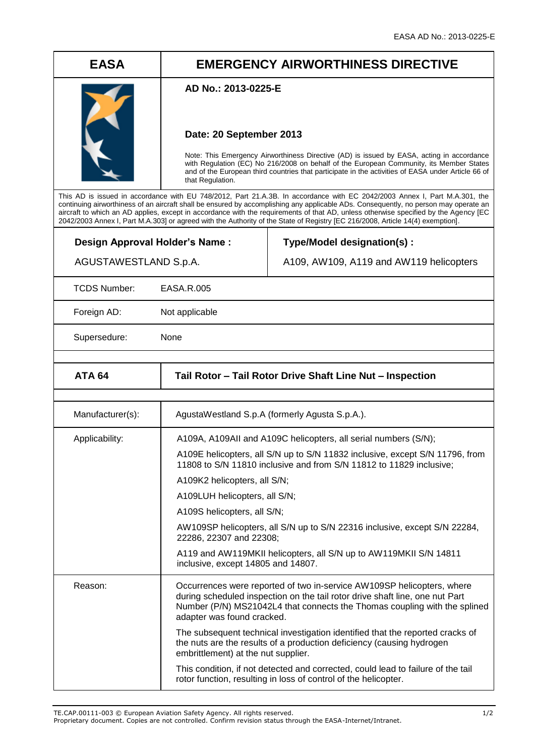# **EASA EMERGENCY AIRWORTHINESS DIRECTIVE**

### **AD No.: 2013-0225-E**

## **Date: 20 September 2013**

Note: This Emergency Airworthiness Directive (AD) is issued by EASA, acting in accordance with Regulation (EC) No 216/2008 on behalf of the European Community, its Member States and of the European third countries that participate in the activities of EASA under Article 66 of that Regulation.

This AD is issued in accordance with EU 748/2012, Part 21.A.3B. In accordance with EC 2042/2003 Annex I, Part M.A.301, the continuing airworthiness of an aircraft shall be ensured by accomplishing any applicable ADs. Consequently, no person may operate an aircraft to which an AD applies, except in accordance with the requirements of that AD, unless otherwise specified by the Agency [EC 2042/2003 Annex I, Part M.A.303] or agreed with the Authority of the State of Registry [EC 216/2008, Article 14(4) exemption].

**Design Approval Holder's Name :**

**Type/Model designation(s) :**

A109, AW109, A119 and AW119 helicopters

TCDS Number: EASA.R.005

AGUSTAWESTLAND S.p.A.

Foreign AD: Not applicable

Supersedure: None

| <b>ATA 64</b>    | Tail Rotor - Tail Rotor Drive Shaft Line Nut - Inspection                                                                                                                                                                                                         |  |  |
|------------------|-------------------------------------------------------------------------------------------------------------------------------------------------------------------------------------------------------------------------------------------------------------------|--|--|
|                  |                                                                                                                                                                                                                                                                   |  |  |
| Manufacturer(s): | AgustaWestland S.p.A (formerly Agusta S.p.A.).                                                                                                                                                                                                                    |  |  |
| Applicability:   | A109A, A109AII and A109C helicopters, all serial numbers (S/N);                                                                                                                                                                                                   |  |  |
|                  | A109E helicopters, all S/N up to S/N 11832 inclusive, except S/N 11796, from<br>11808 to S/N 11810 inclusive and from S/N 11812 to 11829 inclusive;                                                                                                               |  |  |
|                  | A109K2 helicopters, all S/N;                                                                                                                                                                                                                                      |  |  |
|                  | A109LUH helicopters, all S/N;                                                                                                                                                                                                                                     |  |  |
|                  | A109S helicopters, all S/N;                                                                                                                                                                                                                                       |  |  |
|                  | AW109SP helicopters, all S/N up to S/N 22316 inclusive, except S/N 22284,<br>22286, 22307 and 22308;                                                                                                                                                              |  |  |
|                  | A119 and AW119MKII helicopters, all S/N up to AW119MKII S/N 14811<br>inclusive, except 14805 and 14807.                                                                                                                                                           |  |  |
| Reason:          | Occurrences were reported of two in-service AW109SP helicopters, where<br>during scheduled inspection on the tail rotor drive shaft line, one nut Part<br>Number (P/N) MS21042L4 that connects the Thomas coupling with the splined<br>adapter was found cracked. |  |  |
|                  | The subsequent technical investigation identified that the reported cracks of<br>the nuts are the results of a production deficiency (causing hydrogen<br>embrittlement) at the nut supplier.                                                                     |  |  |
|                  | This condition, if not detected and corrected, could lead to failure of the tail<br>rotor function, resulting in loss of control of the helicopter.                                                                                                               |  |  |

TE.CAP.00111-003 © European Aviation Safety Agency. All rights reserved. 1/2

Proprietary document. Copies are not controlled. Confirm revision status through the EASA-Internet/Intranet.